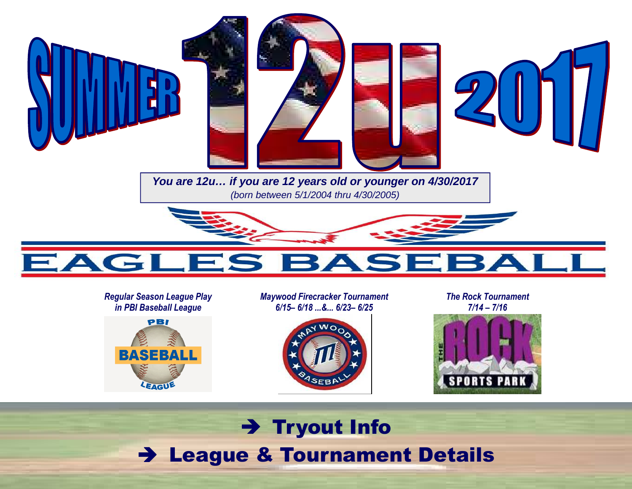

#### *Regular Season League Play in PBI Baseball League*



*Maywood Firecracker Tournament 6/15– 6/18 ...&... 6/23– 6/25* 



*The Rock Tournament 7/14 – 7/16* 



## → Tryout Info<br>a º Teurnamer League & Tournament Details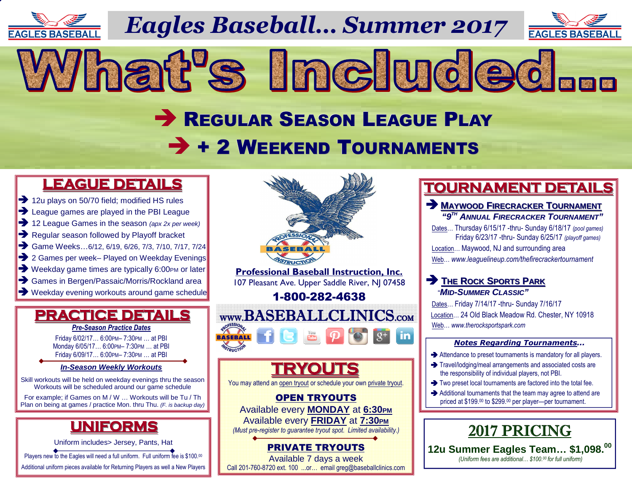

*Eagles Baseball… Summer 2017*

What's Included...



# REGULAR SEASON LEAGUE PLAY + 2 WEEKEND TOURNAMENTS

### **LEAGUE DETAILS**

- 12u plays on 50/70 field: modified HS ru
- → 12u plays on 50/70 field; modified HS rules<br>→ League games are played in the PBI Leagu  $\rightarrow$  League games are played in the PBI League<br> $\rightarrow$  12 League Games in the season (apx 2x per we
- 12 League Games in the season (apx 2x per week)<br> **••** Regular season followed by Playoff bracket
- Regular season followed by Playoff bracket<br>
Same Weeks...6/12. 6/19. 6/26. 7/3. 7/10. 7/17
- Game Weeks...6/12, 6/19, 6/26, 7/3, 7/10, 7/17, 7/24<br> **•••** 2 Games per week– Plaved on Weekdav Evenings
- → 2 Games per week– Played on Weekday Evenings<br>→ Weekday game times are typically 6:00PM or later
- → Weekday game times are typically 6:00PM or later<br>→ Games in Bergen/Passaic/Morris/Rockland area
- 
- → Games in Bergen/Passaic/Morris/Rockland area<br>
→ Weekday evening workouts around game schedule

## **PRACTICE DETAILS**

*Pre-Season Practice Dates*

Friday 6/02/17… 6:00PM– 7:30PM … at PBI Monday 6/05/17… 6:00PM– 7:30PM … at PBI Friday 6/09/17… 6:00PM– 7:30PM … at PBI

#### **In-Season Weekly Workouts**

Skill workouts will be held on weekday evenings thru the season Workouts will be scheduled around our game schedule

 For example; if Games on M / W … Workouts will be Tu / Th Plan on being at games / practice Mon. thru Thu. (F. is backup day)

## **UNIFORMS**

Uniform includes> Jersey, Pants, Hat

Players new to the Eagles will need a full uniform. Full uniform fee is \$100.00

Additional uniform pieces available for Returning Players as well a New Players



## **TOURNAMENT DETAILS**

#### **MAYWOOD <sup>F</sup>IRECRACKER <sup>T</sup>OURNAMENT "9TH ANNUAL <sup>F</sup>IRECRACKER <sup>T</sup>OURNAMENT"**

 Dates… Thursday 6/15/17 -thru- Sunday 6/18/17 *(pool games)*  Friday 6/23/17 -thru- Sunday 6/25/17 *(playoff games)* Location… Maywood, NJ and surrounding areaWeb… *www.leaguelineup.com/thefirecrackertournament*

### **P** THE ROCK SPORTS PARK "**MID-SUMMER <sup>C</sup>LASSIC"**

 Dates… Friday 7/14/17 -thru- Sunday 7/16/17 Location… 24 Old Black Meadow Rd. Chester, NY 10918 Web… *www.therocksportspark.com*

#### *Notes Regarding Tournaments...*

- Attendance to preset tournaments is mandatory for all players.<br>A Travelledginalmeal arrangements and accepted agate are
- $\rightarrow$  Travel/lodging/meal arrangements and associated costs are the responsibility of individual players, not PBI. the responsibility of individual players, not PBI.
- $\rightarrow$  Two preset local tournaments are factored into the total fee.<br>Additional tournaments that the team may earne to ottend a
- Additional tournaments that the team may agree to attend are<br>priced at \$199.00 to \$299.00 per player—per tournament. priced at \$199.00 to \$299.00 per player—per tournament.



PRIVATE TRYOUTS Available 7 days a weekCall 201-760-8720 ext. 100 ...or… email greg@baseballclinics.com  **12u Summer Eagles Team… \$1,098.<sup>00</sup>**  *(Uniform fees are additional… \$100.00 for full uniform)*